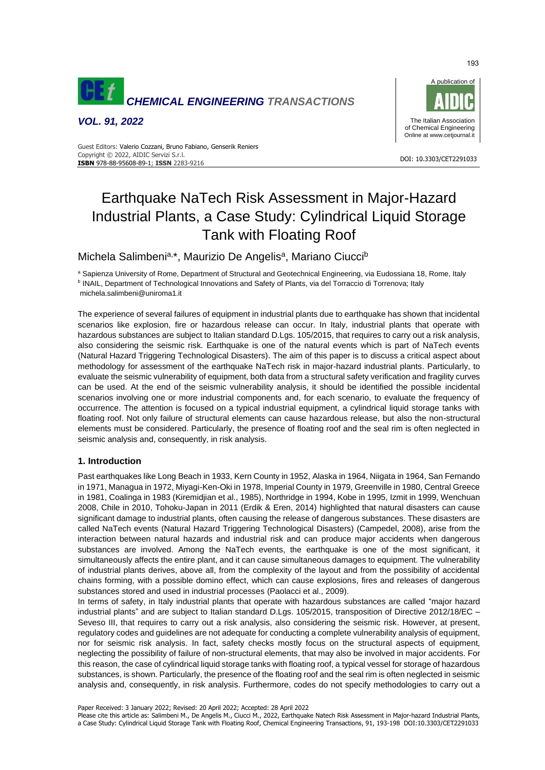

*VOL. 91, 2022*



#### DOI: 10.3303/CET2291033 **ISBN** 978-88-95608-89-1; **ISSN** 2283-9216 Guest Editors: Valerio Cozzani, Bruno Fabiano, Genserik Reniers Copyright © 2022, AIDIC Servizi S.r.l.

# Earthquake NaTech Risk Assessment in Major-Hazard Industrial Plants, a Case Study: Cylindrical Liquid Storage Tank with Floating Roof

Michela Salimbeni<sup>a,\*</sup>, Maurizio De Angelis<sup>a</sup>, Mariano Ciucci<sup>b</sup>

a Sapienza University of Rome, Department of Structural and Geotechnical Engineering, via Eudossiana 18, Rome, Italy **b INAIL, Department of Technological Innovations and Safety of Plants, via del Torraccio di Torrenova; Italy** michela.salimbeni@uniroma1.it

The experience of several failures of equipment in industrial plants due to earthquake has shown that incidental scenarios like explosion, fire or hazardous release can occur. In Italy, industrial plants that operate with hazardous substances are subject to Italian standard D.Lgs. 105/2015, that requires to carry out a risk analysis, also considering the seismic risk. Earthquake is one of the natural events which is part of NaTech events (Natural Hazard Triggering Technological Disasters). The aim of this paper is to discuss a critical aspect about methodology for assessment of the earthquake NaTech risk in major-hazard industrial plants. Particularly, to evaluate the seismic vulnerability of equipment, both data from a structural safety verification and fragility curves can be used. At the end of the seismic vulnerability analysis, it should be identified the possible incidental scenarios involving one or more industrial components and, for each scenario, to evaluate the frequency of occurrence. The attention is focused on a typical industrial equipment, a cylindrical liquid storage tanks with floating roof. Not only failure of structural elements can cause hazardous release, but also the non-structural elements must be considered. Particularly, the presence of floating roof and the seal rim is often neglected in seismic analysis and, consequently, in risk analysis.

# **1. Introduction**

Past earthquakes like Long Beach in 1933, Kern County in 1952, Alaska in 1964, Niigata in 1964, San Fernando in 1971, Managua in 1972, Miyagi-Ken-Oki in 1978, Imperial County in 1979, Greenville in 1980, Central Greece in 1981, Coalinga in 1983 (Kiremidjian et al., 1985), Northridge in 1994, Kobe in 1995, Izmit in 1999, Wenchuan 2008, Chile in 2010, Tohoku-Japan in 2011 (Erdik & Eren, 2014) highlighted that natural disasters can cause significant damage to industrial plants, often causing the release of dangerous substances. These disasters are called NaTech events (Natural Hazard Triggering Technological Disasters) (Campedel, 2008), arise from the interaction between natural hazards and industrial risk and can produce major accidents when dangerous substances are involved. Among the NaTech events, the earthquake is one of the most significant, it simultaneously affects the entire plant, and it can cause simultaneous damages to equipment. The vulnerability of industrial plants derives, above all, from the complexity of the layout and from the possibility of accidental chains forming, with a possible domino effect, which can cause explosions, fires and releases of dangerous substances stored and used in industrial processes (Paolacci et al., 2009).

In terms of safety, in Italy industrial plants that operate with hazardous substances are called "major hazard industrial plants" and are subject to Italian standard D.Lgs. 105/2015, transposition of Directive 2012/18/EC – Seveso III, that requires to carry out a risk analysis, also considering the seismic risk. However, at present, regulatory codes and guidelines are not adequate for conducting a complete vulnerability analysis of equipment, nor for seismic risk analysis. In fact, safety checks mostly focus on the structural aspects of equipment, neglecting the possibility of failure of non-structural elements, that may also be involved in major accidents. For this reason, the case of cylindrical liquid storage tanks with floating roof, a typical vessel for storage of hazardous substances, is shown. Particularly, the presence of the floating roof and the seal rim is often neglected in seismic analysis and, consequently, in risk analysis. Furthermore, codes do not specify methodologies to carry out a

Paper Received: 3 January 2022; Revised: 20 April 2022; Accepted: 28 April 2022

Please cite this article as: Salimbeni M., De Angelis M., Ciucci M., 2022, Earthquake Natech Risk Assessment in Major-hazard Industrial Plants, a Case Study: Cylindrical Liquid Storage Tank with Floating Roof, Chemical Engineering Transactions, 91, 193-198 DOI:10.3303/CET2291033

193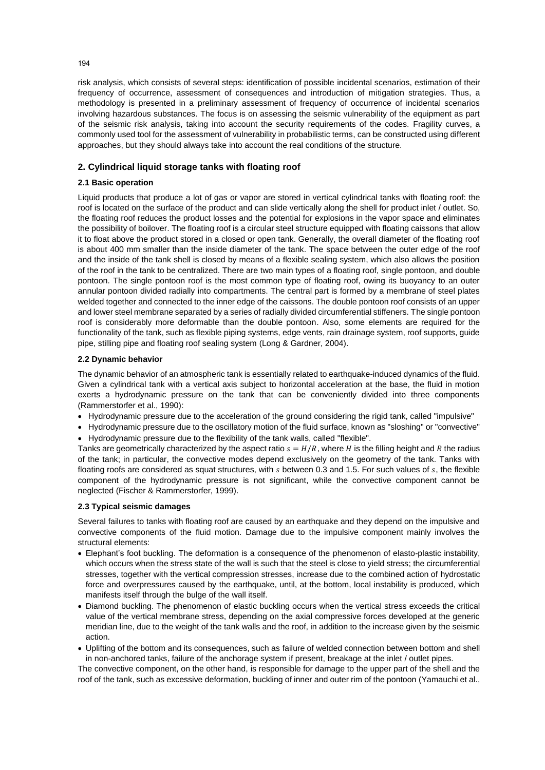risk analysis, which consists of several steps: identification of possible incidental scenarios, estimation of their frequency of occurrence, assessment of consequences and introduction of mitigation strategies. Thus, a methodology is presented in a preliminary assessment of frequency of occurrence of incidental scenarios involving hazardous substances. The focus is on assessing the seismic vulnerability of the equipment as part of the seismic risk analysis, taking into account the security requirements of the codes. Fragility curves, a commonly used tool for the assessment of vulnerability in probabilistic terms, can be constructed using different approaches, but they should always take into account the real conditions of the structure.

# **2. Cylindrical liquid storage tanks with floating roof**

# **2.1 Basic operation**

Liquid products that produce a lot of gas or vapor are stored in vertical cylindrical tanks with floating roof: the roof is located on the surface of the product and can slide vertically along the shell for product inlet / outlet. So, the floating roof reduces the product losses and the potential for explosions in the vapor space and eliminates the possibility of boilover. The floating roof is a circular steel structure equipped with floating caissons that allow it to float above the product stored in a closed or open tank. Generally, the overall diameter of the floating roof is about 400 mm smaller than the inside diameter of the tank. The space between the outer edge of the roof and the inside of the tank shell is closed by means of a flexible sealing system, which also allows the position of the roof in the tank to be centralized. There are two main types of a floating roof, single pontoon, and double pontoon. The single pontoon roof is the most common type of floating roof, owing its buoyancy to an outer annular pontoon divided radially into compartments. The central part is formed by a membrane of steel plates welded together and connected to the inner edge of the caissons. The double pontoon roof consists of an upper and lower steel membrane separated by a series of radially divided circumferential stiffeners. The single pontoon roof is considerably more deformable than the double pontoon. Also, some elements are required for the functionality of the tank, such as flexible piping systems, edge vents, rain drainage system, roof supports, guide pipe, stilling pipe and floating roof sealing system (Long & Gardner, 2004).

#### **2.2 Dynamic behavior**

The dynamic behavior of an atmospheric tank is essentially related to earthquake-induced dynamics of the fluid. Given a cylindrical tank with a vertical axis subject to horizontal acceleration at the base, the fluid in motion exerts a hydrodynamic pressure on the tank that can be conveniently divided into three components (Rammerstorfer et al., 1990):

- Hydrodynamic pressure due to the acceleration of the ground considering the rigid tank, called "impulsive"
- Hydrodynamic pressure due to the oscillatory motion of the fluid surface, known as "sloshing" or "convective"
- Hydrodynamic pressure due to the flexibility of the tank walls, called "flexible".

Tanks are geometrically characterized by the aspect ratio  $s = H/R$ , where H is the filling height and R the radius of the tank; in particular, the convective modes depend exclusively on the geometry of the tank. Tanks with floating roofs are considered as squat structures, with  $s$  between 0.3 and 1.5. For such values of  $s$ , the flexible component of the hydrodynamic pressure is not significant, while the convective component cannot be neglected (Fischer & Rammerstorfer, 1999).

#### **2.3 Typical seismic damages**

Several failures to tanks with floating roof are caused by an earthquake and they depend on the impulsive and convective components of the fluid motion. Damage due to the impulsive component mainly involves the structural elements:

- Elephant's foot buckling. The deformation is a consequence of the phenomenon of elasto-plastic instability, which occurs when the stress state of the wall is such that the steel is close to yield stress; the circumferential stresses, together with the vertical compression stresses, increase due to the combined action of hydrostatic force and overpressures caused by the earthquake, until, at the bottom, local instability is produced, which manifests itself through the bulge of the wall itself.
- Diamond buckling. The phenomenon of elastic buckling occurs when the vertical stress exceeds the critical value of the vertical membrane stress, depending on the axial compressive forces developed at the generic meridian line, due to the weight of the tank walls and the roof, in addition to the increase given by the seismic action.
- Uplifting of the bottom and its consequences, such as failure of welded connection between bottom and shell in non-anchored tanks, failure of the anchorage system if present, breakage at the inlet / outlet pipes.

The convective component, on the other hand, is responsible for damage to the upper part of the shell and the roof of the tank, such as excessive deformation, buckling of inner and outer rim of the pontoon (Yamauchi et al.,

194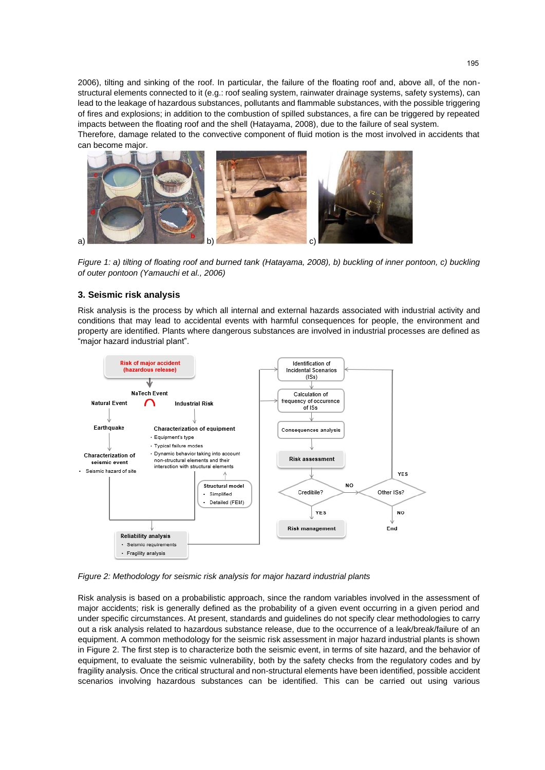2006), tilting and sinking of the roof. In particular, the failure of the floating roof and, above all, of the nonstructural elements connected to it (e.g.: roof sealing system, rainwater drainage systems, safety systems), can lead to the leakage of hazardous substances, pollutants and flammable substances, with the possible triggering of fires and explosions; in addition to the combustion of spilled substances, a fire can be triggered by repeated impacts between the floating roof and the shell (Hatayama, 2008), due to the failure of seal system.

Therefore, damage related to the convective component of fluid motion is the most involved in accidents that can become major.



*Figure 1: a) tilting of floating roof and burned tank (Hatayama, 2008), b) buckling of inner pontoon, c) buckling of outer pontoon (Yamauchi et al., 2006)*

# **3. Seismic risk analysis**

Risk analysis is the process by which all internal and external hazards associated with industrial activity and conditions that may lead to accidental events with harmful consequences for people, the environment and property are identified. Plants where dangerous substances are involved in industrial processes are defined as "major hazard industrial plant".



*Figure 2: Methodology for seismic risk analysis for major hazard industrial plants*

Risk analysis is based on a probabilistic approach, since the random variables involved in the assessment of major accidents; risk is generally defined as the probability of a given event occurring in a given period and under specific circumstances. At present, standards and guidelines do not specify clear methodologies to carry out a risk analysis related to hazardous substance release, due to the occurrence of a leak/break/failure of an equipment. A common methodology for the seismic risk assessment in major hazard industrial plants is shown in Figure 2. The first step is to characterize both the seismic event, in terms of site hazard, and the behavior of equipment, to evaluate the seismic vulnerability, both by the safety checks from the regulatory codes and by fragility analysis. Once the critical structural and non-structural elements have been identified, possible accident scenarios involving hazardous substances can be identified. This can be carried out using various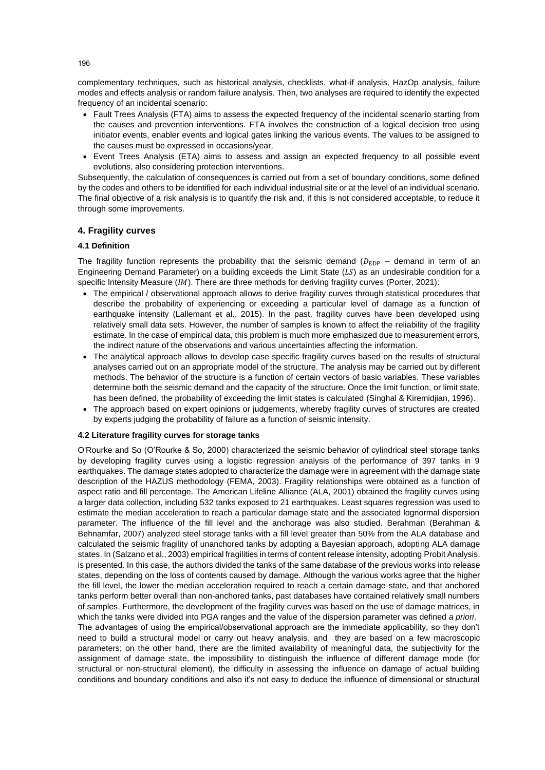complementary techniques, such as historical analysis, checklists, what-if analysis, HazOp analysis, failure modes and effects analysis or random failure analysis. Then, two analyses are required to identify the expected frequency of an incidental scenario:

- Fault Trees Analysis (FTA) aims to assess the expected frequency of the incidental scenario starting from the causes and prevention interventions. FTA involves the construction of a logical decision tree using initiator events, enabler events and logical gates linking the various events. The values to be assigned to the causes must be expressed in occasions/year.
- Event Trees Analysis (ETA) aims to assess and assign an expected frequency to all possible event evolutions, also considering protection interventions.

Subsequently, the calculation of consequences is carried out from a set of boundary conditions, some defined by the codes and others to be identified for each individual industrial site or at the level of an individual scenario. The final objective of a risk analysis is to quantify the risk and, if this is not considered acceptable, to reduce it through some improvements.

#### **4. Fragility curves**

## **4.1 Definition**

The fragility function represents the probability that the seismic demand ( $D_{\text{EDP}}$  – demand in term of an Engineering Demand Parameter) on a building exceeds the Limit State  $(LS)$  as an undesirable condition for a specific Intensity Measure  $(IM)$ . There are three methods for deriving fragility curves (Porter, 2021):

- The empirical / observational approach allows to derive fragility curves through statistical procedures that describe the probability of experiencing or exceeding a particular level of damage as a function of earthquake intensity (Lallemant et al., 2015). In the past, fragility curves have been developed using relatively small data sets. However, the number of samples is known to affect the reliability of the fragility estimate. In the case of empirical data, this problem is much more emphasized due to measurement errors, the indirect nature of the observations and various uncertainties affecting the information.
- The analytical approach allows to develop case specific fragility curves based on the results of structural analyses carried out on an appropriate model of the structure. The analysis may be carried out by different methods. The behavior of the structure is a function of certain vectors of basic variables. These variables determine both the seismic demand and the capacity of the structure. Once the limit function, or limit state, has been defined, the probability of exceeding the limit states is calculated (Singhal & Kiremidjian, 1996).
- The approach based on expert opinions or judgements, whereby fragility curves of structures are created by experts judging the probability of failure as a function of seismic intensity.

# **4.2 Literature fragility curves for storage tanks**

O'Rourke and So (O'Rourke & So, 2000) characterized the seismic behavior of cylindrical steel storage tanks by developing fragility curves using a logistic regression analysis of the performance of 397 tanks in 9 earthquakes. The damage states adopted to characterize the damage were in agreement with the damage state description of the HAZUS methodology (FEMA, 2003). Fragility relationships were obtained as a function of aspect ratio and fill percentage. The American Lifeline Alliance (ALA, 2001) obtained the fragility curves using a larger data collection, including 532 tanks exposed to 21 earthquakes. Least squares regression was used to estimate the median acceleration to reach a particular damage state and the associated lognormal dispersion parameter. The influence of the fill level and the anchorage was also studied. Berahman (Berahman & Behnamfar, 2007) analyzed steel storage tanks with a fill level greater than 50% from the ALA database and calculated the seismic fragility of unanchored tanks by adopting a Bayesian approach, adopting ALA damage states. In (Salzano et al., 2003) empirical fragilities in terms of content release intensity, adopting Probit Analysis, is presented. In this case, the authors divided the tanks of the same database of the previous works into release states, depending on the loss of contents caused by damage. Although the various works agree that the higher the fill level, the lower the median acceleration required to reach a certain damage state, and that anchored tanks perform better overall than non-anchored tanks, past databases have contained relatively small numbers of samples. Furthermore, the development of the fragility curves was based on the use of damage matrices, in which the tanks were divided into PGA ranges and the value of the dispersion parameter was defined *a priori*. The advantages of using the empirical/observational approach are the immediate applicability, so they don't need to build a structural model or carry out heavy analysis, and they are based on a few macroscopic parameters; on the other hand, there are the limited availability of meaningful data, the subjectivity for the assignment of damage state, the impossibility to distinguish the influence of different damage mode (for structural or non-structural element), the difficulty in assessing the influence on damage of actual building conditions and boundary conditions and also it's not easy to deduce the influence of dimensional or structural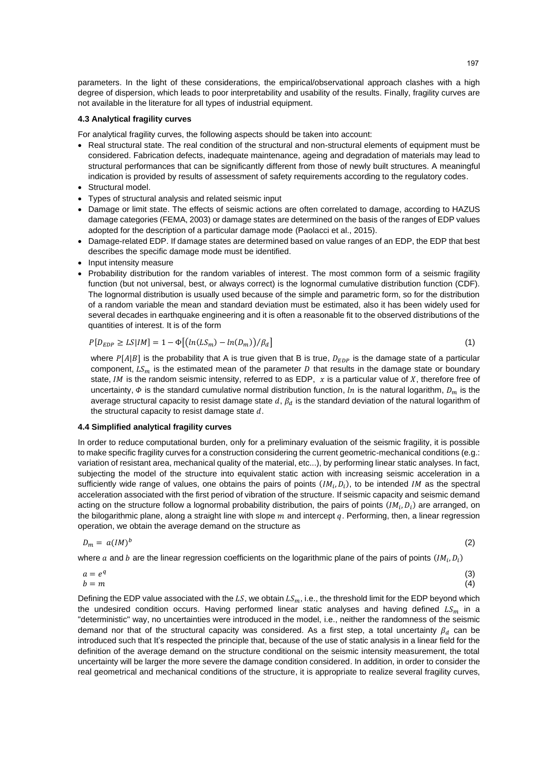parameters. In the light of these considerations, the empirical/observational approach clashes with a high degree of dispersion, which leads to poor interpretability and usability of the results. Finally, fragility curves are not available in the literature for all types of industrial equipment.

#### **4.3 Analytical fragility curves**

For analytical fragility curves, the following aspects should be taken into account:

- Real structural state. The real condition of the structural and non-structural elements of equipment must be considered. Fabrication defects, inadequate maintenance, ageing and degradation of materials may lead to structural performances that can be significantly different from those of newly built structures. A meaningful indication is provided by results of assessment of safety requirements according to the regulatory codes.
- Structural model.
- Types of structural analysis and related seismic input
- Damage or limit state. The effects of seismic actions are often correlated to damage, according to HAZUS damage categories (FEMA, 2003) or damage states are determined on the basis of the ranges of EDP values adopted for the description of a particular damage mode (Paolacci et al., 2015).
- Damage-related EDP. If damage states are determined based on value ranges of an EDP, the EDP that best describes the specific damage mode must be identified.
- Input intensity measure
- Probability distribution for the random variables of interest. The most common form of a seismic fragility function (but not universal, best, or always correct) is the lognormal cumulative distribution function (CDF). The lognormal distribution is usually used because of the simple and parametric form, so for the distribution of a random variable the mean and standard deviation must be estimated, also it has been widely used for several decades in earthquake engineering and it is often a reasonable fit to the observed distributions of the quantities of interest. It is of the form

$$
P[D_{EDP} \ge LS|IM] = 1 - \Phi\left[\left(\ln(LS_m) - \ln(D_m)\right)/\beta_d\right] \tag{1}
$$

where  $P[A|B]$  is the probability that A is true given that B is true,  $D_{EDP}$  is the damage state of a particular component,  $LS_m$  is the estimated mean of the parameter D that results in the damage state or boundary state, *IM* is the random seismic intensity, referred to as EDP,  $x$  is a particular value of  $X$ , therefore free of uncertainty,  $\Phi$  is the standard cumulative normal distribution function, *ln* is the natural logarithm,  $D_m$  is the average structural capacity to resist damage state  $d$ ,  $\beta_d$  is the standard deviation of the natural logarithm of the structural capacity to resist damage state  $d$ .

#### **4.4 Simplified analytical fragility curves**

In order to reduce computational burden, only for a preliminary evaluation of the seismic fragility, it is possible to make specific fragility curves for a construction considering the current geometric-mechanical conditions (e.g.: variation of resistant area, mechanical quality of the material, etc...), by performing linear static analyses. In fact, subjecting the model of the structure into equivalent static action with increasing seismic acceleration in a sufficiently wide range of values, one obtains the pairs of points  $(Im_i, D_i)$ , to be intended IM as the spectral acceleration associated with the first period of vibration of the structure. If seismic capacity and seismic demand acting on the structure follow a lognormal probability distribution, the pairs of points  $(IM_i, D_i)$  are arranged, on the bilogarithmic plane, along a straight line with slope  $m$  and intercept  $q$ . Performing, then, a linear regression operation, we obtain the average demand on the structure as

$$
D_m = a (I M)^b \tag{2}
$$

where  $a$  and  $b$  are the linear regression coefficients on the logarithmic plane of the pairs of points  $(IM_i, D_i)$ 

$$
\begin{array}{l}\n a = e^q \\
b = m\n\end{array} \tag{3}
$$

Defining the EDP value associated with the LS, we obtain  $LS_m$ , i.e., the threshold limit for the EDP beyond which the undesired condition occurs. Having performed linear static analyses and having defined  $LS_m$  in a "deterministic" way, no uncertainties were introduced in the model, i.e., neither the randomness of the seismic demand nor that of the structural capacity was considered. As a first step, a total uncertainty  $\beta_d$  can be introduced such that It's respected the principle that, because of the use of static analysis in a linear field for the definition of the average demand on the structure conditional on the seismic intensity measurement, the total uncertainty will be larger the more severe the damage condition considered. In addition, in order to consider the real geometrical and mechanical conditions of the structure, it is appropriate to realize several fragility curves,

 $(3)$